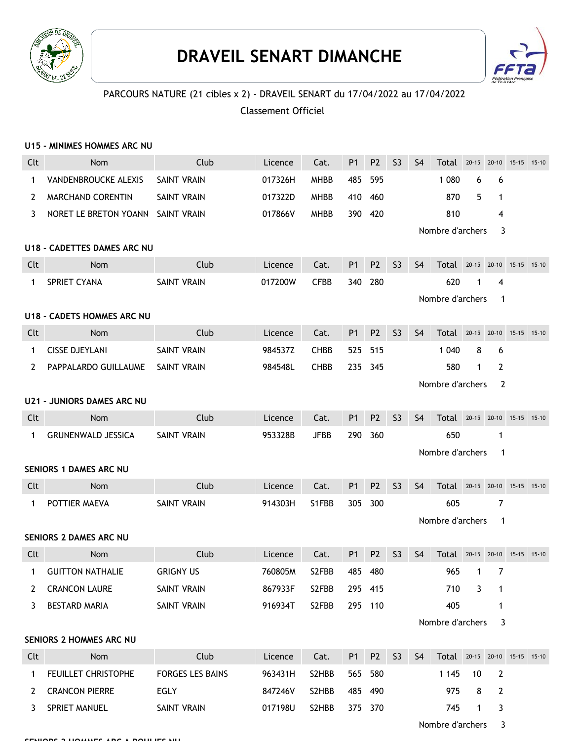

## **DRAVEIL SENART DIMANCHE**



Nombre d'archers 3

## PARCOURS NATURE (21 cibles x 2) - DRAVEIL SENART du 17/04/2022 au 17/04/2022

## Classement Officiel

|                       | U15 - MINIMES HOMMES ARC NU       |                         |         |             |                |                |                |                                  |                               |           |              |         |         |
|-----------------------|-----------------------------------|-------------------------|---------|-------------|----------------|----------------|----------------|----------------------------------|-------------------------------|-----------|--------------|---------|---------|
| Clt                   | <b>Nom</b>                        | Club                    | Licence | Cat.        | <b>P1</b>      | P <sub>2</sub> | <b>S3</b>      | S <sub>4</sub>                   | Total 20-15 20-10 15-15 15-10 |           |              |         |         |
| 1                     | VANDENBROUCKE ALEXIS              | <b>SAINT VRAIN</b>      | 017326H | <b>MHBB</b> | 485            | 595            |                |                                  | 1 0 8 0                       | 6         | 6            |         |         |
| $\mathbf{2}^{\prime}$ | <b>MARCHAND CORENTIN</b>          | <b>SAINT VRAIN</b>      | 017322D | <b>MHBB</b> |                | 410 460        |                |                                  | 870                           | 5         | $\mathbf{1}$ |         |         |
| 3                     | NORET LE BRETON YOANN SAINT VRAIN |                         | 017866V | <b>MHBB</b> |                | 390 420        |                |                                  | 810                           |           | 4            |         |         |
|                       |                                   |                         |         |             |                |                |                |                                  | Nombre d'archers              |           | 3            |         |         |
|                       | U18 - CADETTES DAMES ARC NU       |                         |         |             |                |                |                |                                  |                               |           |              |         |         |
| Clt                   | <b>Nom</b>                        | Club                    | Licence | Cat.        | P <sub>1</sub> | P <sub>2</sub> | S <sub>3</sub> | S <sub>4</sub>                   | Total                         | $20 - 15$ | 20-10        | 15-15   | $15-10$ |
| 1                     | SPRIET CYANA                      | <b>SAINT VRAIN</b>      | 017200W | <b>CFBB</b> | 340            | 280            |                |                                  | 620                           | 1         | 4            |         |         |
|                       |                                   |                         |         |             |                |                |                | Nombre d'archers<br>-1           |                               |           |              |         |         |
|                       | U18 - CADETS HOMMES ARC NU        |                         |         |             |                |                |                |                                  |                               |           |              |         |         |
| Clt                   | <b>Nom</b>                        | Club                    | Licence | Cat.        | <b>P1</b>      | P <sub>2</sub> | S <sub>3</sub> | <b>S4</b>                        | $Total 20-15$                 |           | $20-10$      | $15-15$ | $15-10$ |
| $\mathbf{1}$          | <b>CISSE DJEYLANI</b>             | <b>SAINT VRAIN</b>      | 984537Z | <b>CHBB</b> | 525            | 515            |                |                                  | 1 0 4 0                       | 8         | 6            |         |         |
| 2                     | PAPPALARDO GUILLAUME              | SAINT VRAIN             | 984548L | <b>CHBB</b> | 235            | 345            |                |                                  | 580                           | 1         | 2            |         |         |
|                       |                                   |                         |         |             |                |                |                |                                  | Nombre d'archers              |           | 2            |         |         |
|                       | <b>U21 - JUNIORS DAMES ARC NU</b> |                         |         |             |                |                |                |                                  |                               |           |              |         |         |
| Clt                   | <b>Nom</b>                        | Club                    | Licence | Cat.        | <b>P1</b>      | P <sub>2</sub> | <b>S3</b>      | S <sub>4</sub>                   | Total 20-15 20-10 15-15 15-10 |           |              |         |         |
| 1                     | <b>GRUNENWALD JESSICA</b>         | <b>SAINT VRAIN</b>      | 953328B | <b>JFBB</b> | 290            | 360            |                |                                  | 650                           |           | 1            |         |         |
|                       |                                   | Nombre d'archers<br>1   |         |             |                |                |                |                                  |                               |           |              |         |         |
|                       | <b>SENIORS 1 DAMES ARC NU</b>     |                         |         |             |                |                |                |                                  |                               |           |              |         |         |
| Clt                   | Nom                               | Club                    | Licence | Cat.        | P <sub>1</sub> | P <sub>2</sub> | S <sub>3</sub> | S <sub>4</sub>                   | Total 20-15 20-10 15-15 15-10 |           |              |         |         |
| 1                     | POTTIER MAEVA                     | <b>SAINT VRAIN</b>      | 914303H | S1FBB       | 305            | 300            |                |                                  | 605                           |           | 7            |         |         |
|                       |                                   |                         |         |             |                |                |                | Nombre d'archers<br>$\mathbf{1}$ |                               |           |              |         |         |
|                       | SENIORS 2 DAMES ARC NU            |                         |         |             |                |                |                |                                  |                               |           |              |         |         |
| Clt                   | <b>Nom</b>                        | Club                    | Licence | Cat.        | P <sub>1</sub> | P <sub>2</sub> | S <sub>3</sub> | S <sub>4</sub>                   | Total 20-15 20-10             |           |              | $15-15$ | $15-10$ |
| 1                     | <b>GUITTON NATHALIE</b>           | <b>GRIGNY US</b>        | 760805M | S2FBB       | 485            | 480            |                |                                  | 965                           | 1         | 7            |         |         |
| 2                     | <b>CRANCON LAURE</b>              | SAINT VRAIN             | 867933F | S2FBB       |                | 295 415        |                |                                  | 710                           | 3         | 1            |         |         |
| 3                     | <b>BESTARD MARIA</b>              | <b>SAINT VRAIN</b>      | 916934T | S2FBB       |                | 295 110        |                |                                  | 405                           |           | 1            |         |         |
|                       |                                   |                         |         |             |                |                |                |                                  | Nombre d'archers              |           | 3            |         |         |
|                       | <b>SENIORS 2 HOMMES ARC NU</b>    |                         |         |             |                |                |                |                                  |                               |           |              |         |         |
| Clt                   | Nom                               | Club                    | Licence | Cat.        | <b>P1</b>      | P <sub>2</sub> | S <sub>3</sub> | S <sub>4</sub>                   | Total 20-15 20-10 15-15 15-10 |           |              |         |         |
| 1                     | FEUILLET CHRISTOPHE               | <b>FORGES LES BAINS</b> | 963431H | S2HBB       | 565            | 580            |                |                                  | 1 1 4 5                       | 10        | 2            |         |         |
| 2                     | <b>CRANCON PIERRE</b>             | EGLY                    | 847246V | S2HBB       |                | 485 490        |                |                                  | 975                           | 8         | 2            |         |         |
| 3                     | SPRIET MANUEL                     | SAINT VRAIN             | 017198U | S2HBB       |                | 375 370        |                |                                  | 745                           | 1         | 3            |         |         |

**SENIORS 2 HOMMES ARC A POULIES NU**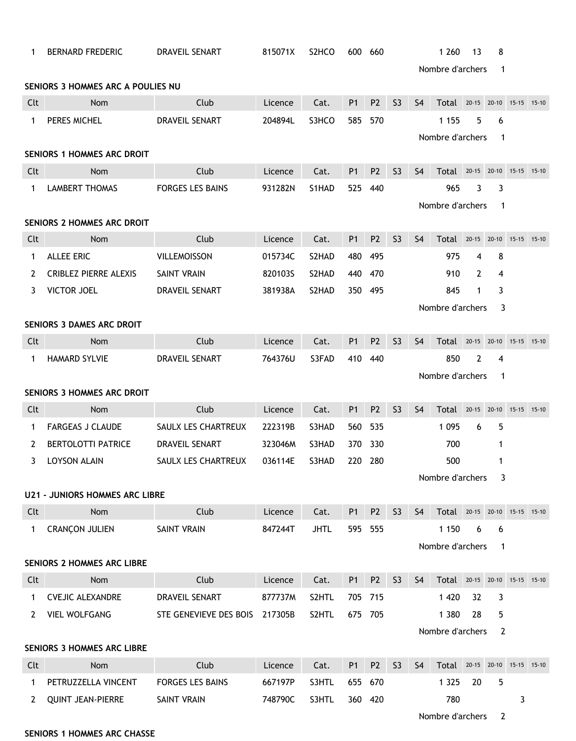| 1                                                     | <b>BERNARD FREDERIC</b>                                     | DRAVEIL SENART          | 815071X | S <sub>2</sub> HCO | 600            | 660            |                |                       | 1 2 6 0                       | 13          | 8            |           |           |
|-------------------------------------------------------|-------------------------------------------------------------|-------------------------|---------|--------------------|----------------|----------------|----------------|-----------------------|-------------------------------|-------------|--------------|-----------|-----------|
|                                                       | Nombre d'archers<br>-1<br>SENIORS 3 HOMMES ARC A POULIES NU |                         |         |                    |                |                |                |                       |                               |             |              |           |           |
| Clt                                                   | Nom                                                         | Club                    | Licence | Cat.               | <b>P1</b>      | P <sub>2</sub> | S <sub>3</sub> | <b>S4</b>             | Total                         | 20-15 20-10 |              | $15 - 15$ | $15-10$   |
| $\mathbf 1$                                           | PERES MICHEL                                                | DRAVEIL SENART          | 204894L | S3HCO              | 585            | 570            |                |                       | 1 1 5 5                       | 5           | 6            |           |           |
|                                                       |                                                             |                         |         |                    |                |                |                |                       |                               |             | -1           |           |           |
| Nombre d'archers<br><b>SENIORS 1 HOMMES ARC DROIT</b> |                                                             |                         |         |                    |                |                |                |                       |                               |             |              |           |           |
| Clt                                                   | Nom                                                         | Club                    | Licence | Cat.               | <b>P1</b>      | P <sub>2</sub> | 53             | S <sub>4</sub>        | Total 20-15 20-10 15-15       |             |              |           | $15-10$   |
| $\mathbf 1$                                           | <b>LAMBERT THOMAS</b>                                       | <b>FORGES LES BAINS</b> | 931282N | S1HAD              | 525            | 440            |                |                       | 965                           | 3           | 3            |           |           |
|                                                       |                                                             |                         |         |                    |                |                |                |                       | Nombre d'archers              |             | $\mathbf 1$  |           |           |
|                                                       | <b>SENIORS 2 HOMMES ARC DROIT</b>                           |                         |         |                    |                |                |                |                       |                               |             |              |           |           |
| Clt                                                   | Nom                                                         | Club                    | Licence | Cat.               | <b>P1</b>      | P <sub>2</sub> | <b>S3</b>      | S <sub>4</sub>        | Total                         | $20 - 15$   | $20 - 10$    | $15 - 15$ | $15 - 10$ |
| 1                                                     | <b>ALLEE ERIC</b>                                           | <b>VILLEMOISSON</b>     | 015734C | S2HAD              | 480            | 495            |                |                       | 975                           | 4           | 8            |           |           |
| 2                                                     | <b>CRIBLEZ PIERRE ALEXIS</b>                                | SAINT VRAIN             | 820103S | S2HAD              | 440            | 470            |                |                       | 910                           | 2           | 4            |           |           |
| 3                                                     | <b>VICTOR JOEL</b>                                          | <b>DRAVEIL SENART</b>   | 381938A | S2HAD              | 350            | 495            |                |                       | 845                           | 1           | 3            |           |           |
|                                                       |                                                             |                         |         |                    |                |                |                |                       | Nombre d'archers              |             | 3            |           |           |
|                                                       | SENIORS 3 DAMES ARC DROIT                                   |                         |         |                    |                |                |                |                       |                               |             |              |           |           |
| Clt                                                   | <b>Nom</b>                                                  | Club                    | Licence | Cat.               | <b>P1</b>      | P <sub>2</sub> | <b>S3</b>      | S <sub>4</sub>        | Total                         | $20 - 15$   | $20-10$      | 15-15     | $15-10$   |
| $\mathbf 1$                                           | <b>HAMARD SYLVIE</b>                                        | <b>DRAVEIL SENART</b>   | 764376U | S3FAD              | 410            | 440            |                |                       | 850                           | 2           | 4            |           |           |
|                                                       |                                                             |                         |         |                    |                |                |                |                       | Nombre d'archers              |             | -1           |           |           |
|                                                       | <b>SENIORS 3 HOMMES ARC DROIT</b>                           |                         |         |                    |                |                |                |                       |                               |             |              |           |           |
| Clt                                                   | Nom                                                         | Club                    | Licence | Cat.               | <b>P1</b>      | P <sub>2</sub> | <b>S3</b>      | S <sub>4</sub>        | Total 20-15 20-10 15-15 15-10 |             |              |           |           |
| 1                                                     | <b>FARGEAS J CLAUDE</b>                                     | SAULX LES CHARTREUX     | 222319B | S3HAD              | 560            | 535            |                |                       | 1 0 9 5                       | 6           | 5            |           |           |
| 2                                                     | <b>BERTOLOTTI PATRICE</b>                                   | DRAVEIL SENART          | 323046M | S3HAD              | 370            | 330            |                |                       | 700                           |             | 1            |           |           |
| 3                                                     | <b>LOYSON ALAIN</b>                                         | SAULX LES CHARTREUX     | 036114E | S3HAD              | 220            | 280            |                |                       | 500                           |             | 1            |           |           |
|                                                       |                                                             |                         |         |                    |                |                |                |                       | Nombre d'archers              |             | 3            |           |           |
|                                                       | <b>U21 - JUNIORS HOMMES ARC LIBRE</b>                       |                         |         |                    |                |                |                |                       |                               |             |              |           |           |
| Clt                                                   | Nom                                                         | Club                    | Licence | Cat.               | P <sub>1</sub> | P <sub>2</sub> | S <sub>3</sub> | S <sub>4</sub>        | Total 20-15 20-10 15-15 15-10 |             |              |           |           |
| 1                                                     | <b>CRANÇON JULIEN</b>                                       | SAINT VRAIN             | 847244T | <b>JHTL</b>        | 595            | 555            |                |                       | 1 1 5 0                       | 6           | 6            |           |           |
|                                                       |                                                             |                         |         |                    |                |                |                |                       | Nombre d'archers              |             | $\mathbf{1}$ |           |           |
|                                                       | <b>SENIORS 2 HOMMES ARC LIBRE</b>                           |                         |         |                    |                |                |                |                       |                               |             |              |           |           |
| Clt                                                   | Nom                                                         | Club                    | Licence | Cat.               | P <sub>1</sub> | P <sub>2</sub> | S <sub>3</sub> | S <sub>4</sub>        | Total 20-15 20-10 15-15 15-10 |             |              |           |           |
| 1                                                     | <b>CVEJIC ALEXANDRE</b>                                     | DRAVEIL SENART          | 877737M | S2HTL              | 705 715        |                |                |                       | 1 4 2 0                       | 32          | 3            |           |           |
| 2                                                     | <b>VIEL WOLFGANG</b>                                        | STE GENEVIEVE DES BOIS  | 217305B | S2HTL              | 675 705        |                |                |                       | 1 3 8 0                       | 28          | 5            |           |           |
|                                                       |                                                             |                         |         |                    |                |                |                | Nombre d'archers<br>2 |                               |             |              |           |           |
|                                                       | <b>SENIORS 3 HOMMES ARC LIBRE</b>                           |                         |         |                    |                |                |                |                       |                               |             |              |           |           |
| Clt                                                   | Nom                                                         | Club                    | Licence | Cat.               | P <sub>1</sub> | P <sub>2</sub> | <b>S3</b>      | S <sub>4</sub>        | Total 20-15 20-10 15-15 15-10 |             |              |           |           |
| 1                                                     | PETRUZZELLA VINCENT                                         | <b>FORGES LES BAINS</b> | 667197P | S3HTL              | 655 670        |                |                |                       | 1 3 2 5                       | 20          | 5            |           |           |
| 2                                                     | <b>QUINT JEAN-PIERRE</b>                                    | SAINT VRAIN             | 748790C | S3HTL              |                | 360 420        |                |                       | 780                           |             |              | 3         |           |
|                                                       |                                                             |                         |         |                    |                |                |                |                       | Nombre d'archers              |             | 2            |           |           |

## **SENIORS 1 HOMMES ARC CHASSE**